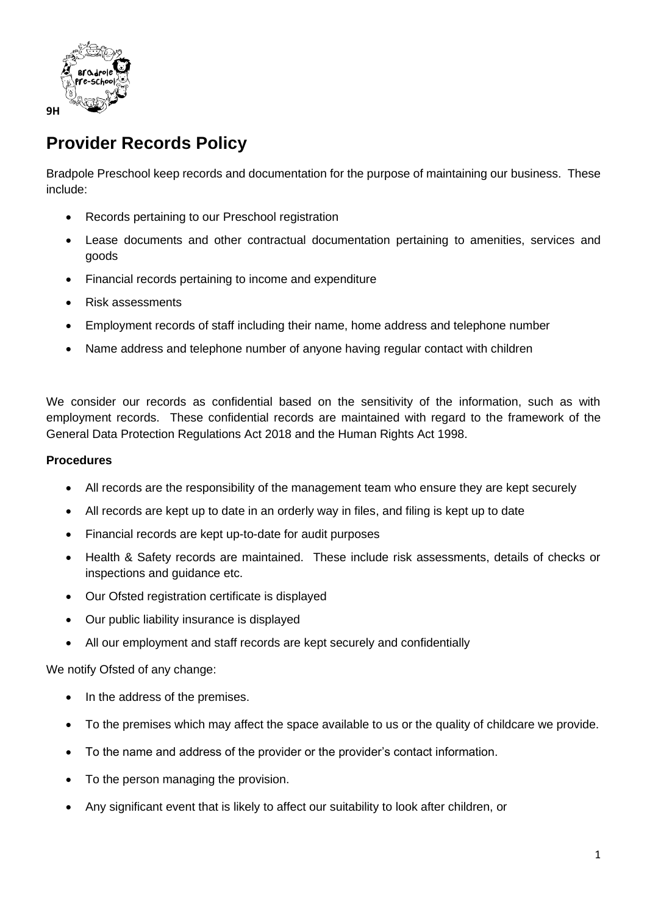

## **Provider Records Policy**

Bradpole Preschool keep records and documentation for the purpose of maintaining our business. These include:

- Records pertaining to our Preschool registration
- Lease documents and other contractual documentation pertaining to amenities, services and goods
- Financial records pertaining to income and expenditure
- Risk assessments
- Employment records of staff including their name, home address and telephone number
- Name address and telephone number of anyone having regular contact with children

We consider our records as confidential based on the sensitivity of the information, such as with employment records. These confidential records are maintained with regard to the framework of the General Data Protection Regulations Act 2018 and the Human Rights Act 1998.

## **Procedures**

- All records are the responsibility of the management team who ensure they are kept securely
- All records are kept up to date in an orderly way in files, and filing is kept up to date
- Financial records are kept up-to-date for audit purposes
- Health & Safety records are maintained. These include risk assessments, details of checks or inspections and guidance etc.
- Our Ofsted registration certificate is displayed
- Our public liability insurance is displayed
- All our employment and staff records are kept securely and confidentially

We notify Ofsted of any change:

- In the address of the premises.
- To the premises which may affect the space available to us or the quality of childcare we provide.
- To the name and address of the provider or the provider's contact information.
- To the person managing the provision.
- Any significant event that is likely to affect our suitability to look after children, or